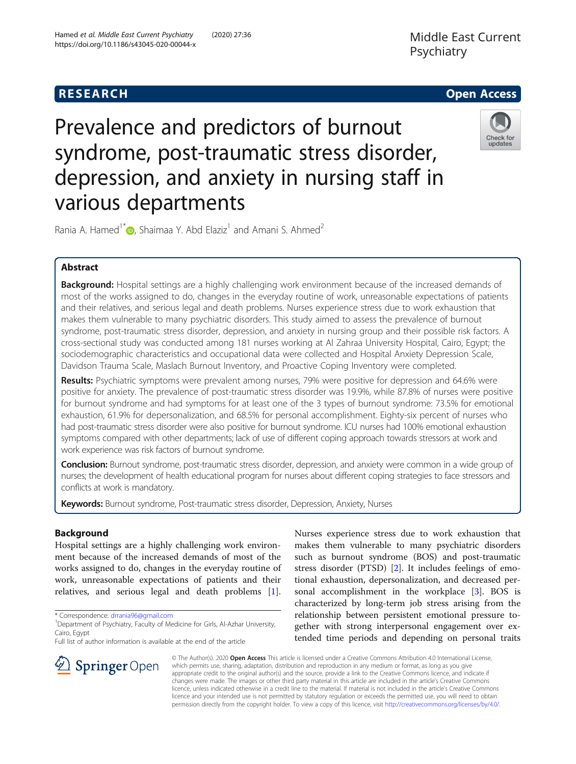# Middle East Current Psychiatry



# Prevalence and predictors of burnout syndrome, post-traumatic stress disorder, depression, and anxiety in nursing staff in various departments



Rania A. Hamed<sup>1[\\*](http://orcid.org/0000-0001-9300-3136)</sup> **(b**, Shaimaa Y. Abd Elaziz<sup>1</sup> and Amani S. Ahmed<sup>2</sup>

# Abstract

Background: Hospital settings are a highly challenging work environment because of the increased demands of most of the works assigned to do, changes in the everyday routine of work, unreasonable expectations of patients and their relatives, and serious legal and death problems. Nurses experience stress due to work exhaustion that makes them vulnerable to many psychiatric disorders. This study aimed to assess the prevalence of burnout syndrome, post-traumatic stress disorder, depression, and anxiety in nursing group and their possible risk factors. A cross-sectional study was conducted among 181 nurses working at Al Zahraa University Hospital, Cairo, Egypt; the sociodemographic characteristics and occupational data were collected and Hospital Anxiety Depression Scale, Davidson Trauma Scale, Maslach Burnout Inventory, and Proactive Coping Inventory were completed.

Results: Psychiatric symptoms were prevalent among nurses, 79% were positive for depression and 64.6% were positive for anxiety. The prevalence of post-traumatic stress disorder was 19.9%, while 87.8% of nurses were positive for burnout syndrome and had symptoms for at least one of the 3 types of burnout syndrome: 73.5% for emotional exhaustion, 61.9% for depersonalization, and 68.5% for personal accomplishment. Eighty-six percent of nurses who had post-traumatic stress disorder were also positive for burnout syndrome. ICU nurses had 100% emotional exhaustion symptoms compared with other departments; lack of use of different coping approach towards stressors at work and work experience was risk factors of burnout syndrome.

**Conclusion:** Burnout syndrome, post-traumatic stress disorder, depression, and anxiety were common in a wide group of nurses; the development of health educational program for nurses about different coping strategies to face stressors and conflicts at work is mandatory.

Keywords: Burnout syndrome, Post-traumatic stress disorder, Depression, Anxiety, Nurses

# Background

Hospital settings are a highly challenging work environment because of the increased demands of most of the works assigned to do, changes in the everyday routine of work, unreasonable expectations of patients and their relatives, and serious legal and death problems [\[1](#page-6-0)].

\* Correspondence: [drrania96@gmail.com](mailto:drrania96@gmail.com) <sup>1</sup>

Full list of author information is available at the end of the article

Nurses experience stress due to work exhaustion that makes them vulnerable to many psychiatric disorders such as burnout syndrome (BOS) and post-traumatic stress disorder (PTSD) [\[2](#page-6-0)]. It includes feelings of emotional exhaustion, depersonalization, and decreased personal accomplishment in the workplace [[3\]](#page-6-0). BOS is characterized by long-term job stress arising from the relationship between persistent emotional pressure together with strong interpersonal engagement over extended time periods and depending on personal traits

 $\mathcal{L}$  Springer Open

© The Author(s). 2020 Open Access This article is licensed under a Creative Commons Attribution 4.0 International License, which permits use, sharing, adaptation, distribution and reproduction in any medium or format, as long as you give appropriate credit to the original author(s) and the source, provide a link to the Creative Commons licence, and indicate if changes were made. The images or other third party material in this article are included in the article's Creative Commons licence, unless indicated otherwise in a credit line to the material. If material is not included in the article's Creative Commons licence and your intended use is not permitted by statutory regulation or exceeds the permitted use, you will need to obtain permission directly from the copyright holder. To view a copy of this licence, visit <http://creativecommons.org/licenses/by/4.0/>.

<sup>&</sup>lt;sup>1</sup> Department of Psychiatry, Faculty of Medicine for Girls, Al-Azhar University, Cairo, Egypt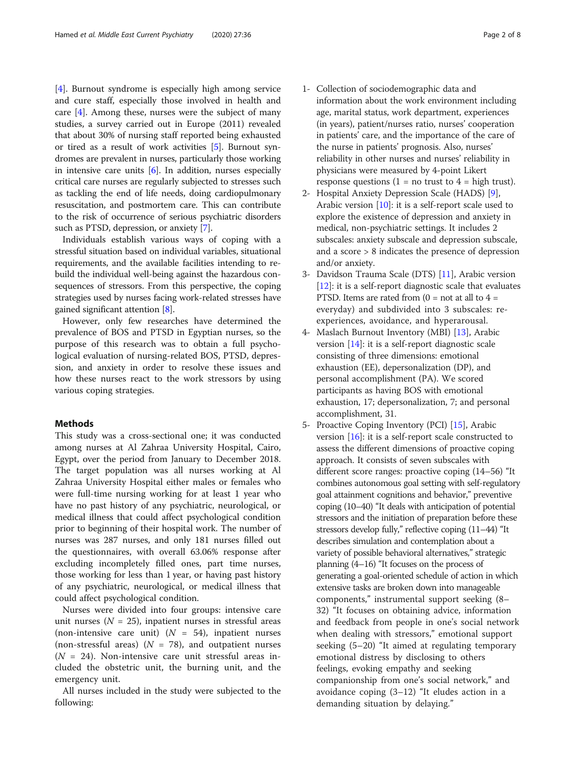[[4\]](#page-6-0). Burnout syndrome is especially high among service and cure staff, especially those involved in health and care [\[4](#page-6-0)]. Among these, nurses were the subject of many studies, a survey carried out in Europe (2011) revealed that about 30% of nursing staff reported being exhausted or tired as a result of work activities [\[5](#page-6-0)]. Burnout syndromes are prevalent in nurses, particularly those working in intensive care units  $[6]$  $[6]$ . In addition, nurses especially critical care nurses are regularly subjected to stresses such as tackling the end of life needs, doing cardiopulmonary resuscitation, and postmortem care. This can contribute to the risk of occurrence of serious psychiatric disorders such as PTSD, depression, or anxiety [[7\]](#page-6-0).

Individuals establish various ways of coping with a stressful situation based on individual variables, situational requirements, and the available facilities intending to rebuild the individual well-being against the hazardous consequences of stressors. From this perspective, the coping strategies used by nurses facing work-related stresses have gained significant attention [[8\]](#page-6-0).

However, only few researches have determined the prevalence of BOS and PTSD in Egyptian nurses, so the purpose of this research was to obtain a full psychological evaluation of nursing-related BOS, PTSD, depression, and anxiety in order to resolve these issues and how these nurses react to the work stressors by using various coping strategies.

#### **Methods**

This study was a cross-sectional one; it was conducted among nurses at Al Zahraa University Hospital, Cairo, Egypt, over the period from January to December 2018. The target population was all nurses working at Al Zahraa University Hospital either males or females who were full-time nursing working for at least 1 year who have no past history of any psychiatric, neurological, or medical illness that could affect psychological condition prior to beginning of their hospital work. The number of nurses was 287 nurses, and only 181 nurses filled out the questionnaires, with overall 63.06% response after excluding incompletely filled ones, part time nurses, those working for less than 1 year, or having past history of any psychiatric, neurological, or medical illness that could affect psychological condition.

Nurses were divided into four groups: intensive care unit nurses ( $N = 25$ ), inpatient nurses in stressful areas (non-intensive care unit)  $(N = 54)$ , inpatient nurses (non-stressful areas) ( $N = 78$ ), and outpatient nurses  $(N = 24)$ . Non-intensive care unit stressful areas included the obstetric unit, the burning unit, and the emergency unit.

All nurses included in the study were subjected to the following:

- 1- Collection of sociodemographic data and information about the work environment including age, marital status, work department, experiences (in years), patient/nurses ratio, nurses' cooperation in patients' care, and the importance of the care of the nurse in patients' prognosis. Also, nurses' reliability in other nurses and nurses' reliability in physicians were measured by 4-point Likert response questions  $(1 = no$  trust to  $4 = high$  trust).
- 2- Hospital Anxiety Depression Scale (HADS) [[9](#page-6-0)], Arabic version [\[10\]](#page-6-0): it is a self-report scale used to explore the existence of depression and anxiety in medical, non-psychiatric settings. It includes 2 subscales: anxiety subscale and depression subscale, and a score > 8 indicates the presence of depression and/or anxiety.
- 3- Davidson Trauma Scale (DTS) [[11](#page-6-0)], Arabic version  $[12]$  $[12]$  $[12]$ : it is a self-report diagnostic scale that evaluates PTSD. Items are rated from  $(0 = not at all to 4 = 1)$ everyday) and subdivided into 3 subscales: reexperiences, avoidance, and hyperarousal.
- 4- Maslach Burnout Inventory (MBI) [\[13\]](#page-6-0), Arabic version [\[14\]](#page-7-0): it is a self-report diagnostic scale consisting of three dimensions: emotional exhaustion (EE), depersonalization (DP), and personal accomplishment (PA). We scored participants as having BOS with emotional exhaustion, 17; depersonalization, 7; and personal accomplishment, 31.
- 5- Proactive Coping Inventory (PCI) [[15](#page-7-0)], Arabic version  $[16]$ : it is a self-report scale constructed to assess the different dimensions of proactive coping approach. It consists of seven subscales with different score ranges: proactive coping (14–56) "It combines autonomous goal setting with self-regulatory goal attainment cognitions and behavior," preventive coping (10–40) "It deals with anticipation of potential stressors and the initiation of preparation before these stressors develop fully," reflective coping (11–44) "It describes simulation and contemplation about a variety of possible behavioral alternatives," strategic planning (4–16) "It focuses on the process of generating a goal-oriented schedule of action in which extensive tasks are broken down into manageable components," instrumental support seeking (8– 32) "It focuses on obtaining advice, information and feedback from people in one's social network when dealing with stressors," emotional support seeking (5–20) "It aimed at regulating temporary emotional distress by disclosing to others feelings, evoking empathy and seeking companionship from one's social network," and avoidance coping (3–12) "It eludes action in a demanding situation by delaying."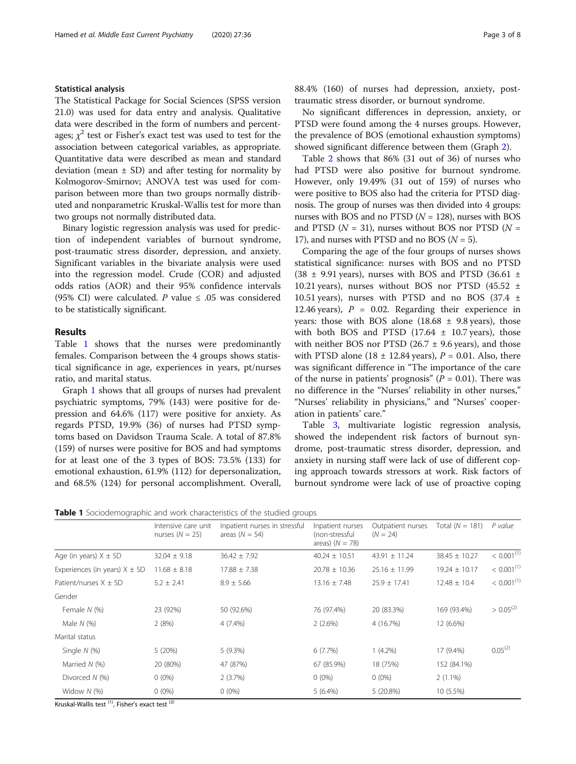# Statistical analysis

The Statistical Package for Social Sciences (SPSS version 21.0) was used for data entry and analysis. Qualitative data were described in the form of numbers and percentages;  $\chi^2$  test or Fisher's exact test was used to test for the association between categorical variables, as appropriate. Quantitative data were described as mean and standard deviation (mean  $\pm$  SD) and after testing for normality by Kolmogorov-Smirnov; ANOVA test was used for comparison between more than two groups normally distributed and nonparametric Kruskal-Wallis test for more than two groups not normally distributed data.

Binary logistic regression analysis was used for prediction of independent variables of burnout syndrome, post-traumatic stress disorder, depression, and anxiety. Significant variables in the bivariate analysis were used into the regression model. Crude (COR) and adjusted odds ratios (AOR) and their 95% confidence intervals (95% CI) were calculated. P value  $\leq$  .05 was considered to be statistically significant.

## Results

Table 1 shows that the nurses were predominantly females. Comparison between the 4 groups shows statistical significance in age, experiences in years, pt/nurses ratio, and marital status.

Graph [1](#page-3-0) shows that all groups of nurses had prevalent psychiatric symptoms, 79% (143) were positive for depression and 64.6% (117) were positive for anxiety. As regards PTSD, 19.9% (36) of nurses had PTSD symptoms based on Davidson Trauma Scale. A total of 87.8% (159) of nurses were positive for BOS and had symptoms for at least one of the 3 types of BOS: 73.5% (133) for emotional exhaustion, 61.9% (112) for depersonalization, and 68.5% (124) for personal accomplishment. Overall, 88.4% (160) of nurses had depression, anxiety, posttraumatic stress disorder, or burnout syndrome.

No significant differences in depression, anxiety, or PTSD were found among the 4 nurses groups. However, the prevalence of BOS (emotional exhaustion symptoms) showed significant difference between them (Graph [2\)](#page-3-0).

Table [2](#page-4-0) shows that 86% (31 out of 36) of nurses who had PTSD were also positive for burnout syndrome. However, only 19.49% (31 out of 159) of nurses who were positive to BOS also had the criteria for PTSD diagnosis. The group of nurses was then divided into 4 groups: nurses with BOS and no PTSD  $(N = 128)$ , nurses with BOS and PTSD ( $N = 31$ ), nurses without BOS nor PTSD ( $N =$ 17), and nurses with PTSD and no BOS  $(N = 5)$ .

Comparing the age of the four groups of nurses shows statistical significance: nurses with BOS and no PTSD  $(38 \pm 9.91 \text{ years})$ , nurses with BOS and PTSD  $(36.61 \pm 1.005 \text{ years})$ 10.21 years), nurses without BOS nor PTSD  $(45.52 \pm 10.21)$ 10.51 years), nurses with PTSD and no BOS (37.4  $\pm$ 12.46 years),  $P = 0.02$ . Regarding their experience in years: those with BOS alone  $(18.68 \pm 9.8 \text{ years})$ , those with both BOS and PTSD  $(17.64 \pm 10.7 \text{ years})$ , those with neither BOS nor PTSD (26.7  $\pm$  9.6 years), and those with PTSD alone (18  $\pm$  12.84 years), P = 0.01. Also, there was significant difference in "The importance of the care of the nurse in patients' prognosis" ( $P = 0.01$ ). There was no difference in the "Nurses' reliability in other nurses," "Nurses' reliability in physicians," and "Nurses' cooperation in patients' care."

Table [3](#page-5-0), multivariate logistic regression analysis, showed the independent risk factors of burnout syndrome, post-traumatic stress disorder, depression, and anxiety in nursing staff were lack of use of different coping approach towards stressors at work. Risk factors of burnout syndrome were lack of use of proactive coping

Table 1 Sociodemographic and work characteristics of the studied groups

|                                   | Intensive care unit<br>nurses $(N = 25)$ | Inpatient nurses in stressful<br>areas $(N = 54)$ | Inpatient nurses<br>(non-stressful<br>areas) $(N = 78)$ | Outpatient nurses<br>$(N = 24)$ | Total $(N = 181)$ | P value                |
|-----------------------------------|------------------------------------------|---------------------------------------------------|---------------------------------------------------------|---------------------------------|-------------------|------------------------|
| Age (in years) $X \pm SD$         | $32.04 \pm 9.18$                         | $36.42 \pm 7.92$                                  | $40.24 \pm 10.51$                                       | $43.91 \pm 11.24$               | $38.45 \pm 10.27$ | $< 0.001^{(1)}$        |
| Experiences (in years) $X \pm SD$ | $11.68 \pm 8.18$                         | $17.88 \pm 7.38$                                  | $20.78 \pm 10.36$                                       | $25.16 \pm 11.99$               | $19.24 \pm 10.17$ | < 0.001 <sup>(1)</sup> |
| Patient/nurses $X + SD$           | $5.2 \pm 2.41$                           | $8.9 \pm 5.66$                                    | $13.16 \pm 7.48$                                        | $25.9 \pm 17.41$                | $12.48 \pm 10.4$  | < 0.001 <sup>(1)</sup> |
| Gender                            |                                          |                                                   |                                                         |                                 |                   |                        |
| Female N (%)                      | 23 (92%)                                 | 50 (92.6%)                                        | 76 (97.4%)                                              | 20 (83.3%)                      | 169 (93.4%)       | $> 0.05^{(2)}$         |
| Male $N$ (%)                      | 2(8%)                                    | 4 (7.4%)                                          | 2(2.6%)                                                 | 4 (16.7%)                       | 12 (6.6%)         |                        |
| Marital status                    |                                          |                                                   |                                                         |                                 |                   |                        |
| Single $N$ (%)                    | 5(20%)                                   | 5(9.3%)                                           | 6(7.7%)                                                 | $1(4.2\%)$                      | 17 (9.4%)         | $0.05^{(2)}$           |
| Married $N$ (%)                   | 20 (80%)                                 | 47 (87%)                                          | 67 (85.9%)                                              | 18 (75%)                        | 152 (84.1%)       |                        |
| Divorced $N$ (%)                  | $0(0\%)$                                 | 2(3.7%)                                           | $0(0\%)$                                                | $0(0\%)$                        | $2(1.1\%)$        |                        |
| Widow $N$ (%)                     | $0(0\%)$                                 | $0(0\%)$                                          | $5(6.4\%)$                                              | 5 (20.8%)                       | 10 (5.5%)         |                        |

Kruskal-Wallis test  $(1)$ , Fisher's exact test  $(2)$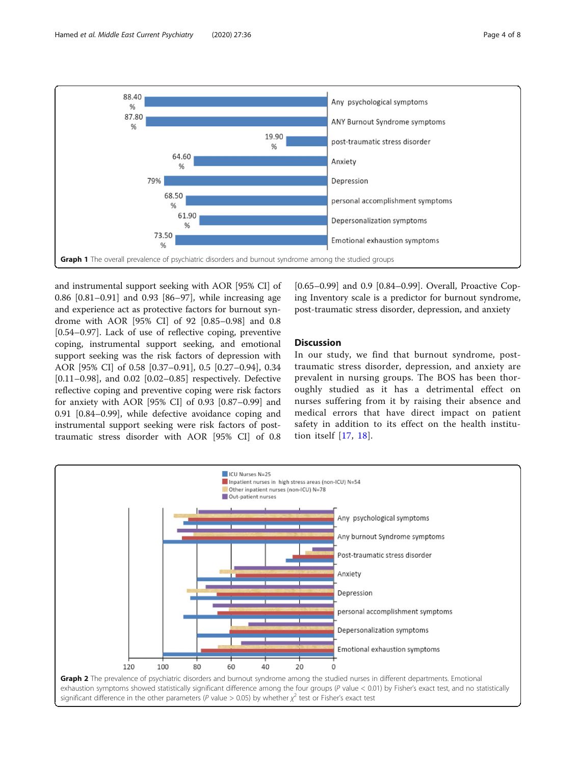

<span id="page-3-0"></span>

and instrumental support seeking with AOR [95% CI] of 0.86 [0.81–0.91] and 0.93 [86–97], while increasing age and experience act as protective factors for burnout syndrome with AOR [95% CI] of 92 [0.85–0.98] and 0.8 [0.54–0.97]. Lack of use of reflective coping, preventive coping, instrumental support seeking, and emotional support seeking was the risk factors of depression with AOR [95% CI] of 0.58 [0.37–0.91], 0.5 [0.27–0.94], 0.34 [0.11–0.98], and 0.02 [0.02–0.85] respectively. Defective reflective coping and preventive coping were risk factors for anxiety with AOR [95% CI] of 0.93 [0.87–0.99] and 0.91 [0.84–0.99], while defective avoidance coping and instrumental support seeking were risk factors of posttraumatic stress disorder with AOR [95% CI] of 0.8

[0.65–0.99] and 0.9 [0.84–0.99]. Overall, Proactive Coping Inventory scale is a predictor for burnout syndrome, post-traumatic stress disorder, depression, and anxiety

# **Discussion**

In our study, we find that burnout syndrome, posttraumatic stress disorder, depression, and anxiety are prevalent in nursing groups. The BOS has been thoroughly studied as it has a detrimental effect on nurses suffering from it by raising their absence and medical errors that have direct impact on patient safety in addition to its effect on the health institution itself [\[17,](#page-7-0) [18](#page-7-0)].

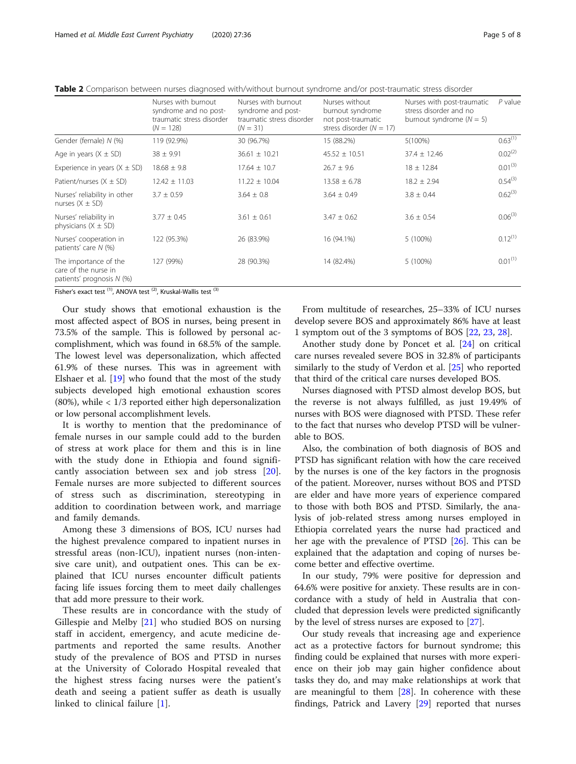<span id="page-4-0"></span>Table 2 Comparison between nurses diagnosed with/without burnout syndrome and/or post-traumatic stress disorder

|                                                                            | Nurses with burnout<br>syndrome and no post-<br>traumatic stress disorder<br>$(N = 128)$ | Nurses with burnout<br>syndrome and post-<br>traumatic stress disorder<br>$(N = 31)$ | Nurses without<br>burnout syndrome<br>not post-traumatic<br>stress disorder ( $N = 17$ ) | Nurses with post-traumatic<br>stress disorder and no<br>burnout syndrome $(N = 5)$ | $P$ value    |
|----------------------------------------------------------------------------|------------------------------------------------------------------------------------------|--------------------------------------------------------------------------------------|------------------------------------------------------------------------------------------|------------------------------------------------------------------------------------|--------------|
| Gender (female) N (%)                                                      | 119 (92.9%)                                                                              | 30 (96.7%)                                                                           | 15 (88.2%)                                                                               | $5(100\%)$                                                                         | $0.63^{(1)}$ |
| Age in years $(X \pm SD)$                                                  | $38 \pm 9.91$                                                                            | $36.61 \pm 10.21$                                                                    | $45.52 \pm 10.51$                                                                        | $37.4 \pm 12.46$                                                                   | $0.02^{(2)}$ |
| Experience in years $(X \pm SD)$                                           | $18.68 \pm 9.8$                                                                          | $17.64 \pm 10.7$                                                                     | $26.7 \pm 9.6$                                                                           | $18 \pm 12.84$                                                                     | $0.01^{(3)}$ |
| Patient/nurses $(X \pm SD)$                                                | $12.42 \pm 11.03$                                                                        | $11.22 \pm 10.04$                                                                    | $13.58 \pm 6.78$                                                                         | $18.2 \pm 2.94$                                                                    | $0.54^{(3)}$ |
| Nurses' reliability in other<br>nurses $(X \pm SD)$                        | $3.7 \pm 0.59$                                                                           | $3.64 \pm 0.8$                                                                       | $3.64 \pm 0.49$                                                                          | $3.8 \pm 0.44$                                                                     | $0.62^{(3)}$ |
| Nurses' reliability in<br>physicians $(X \pm SD)$                          | $3.77 \pm 0.45$                                                                          | $3.61 \pm 0.61$                                                                      | $3.47 \pm 0.62$                                                                          | $3.6 \pm 0.54$                                                                     | $0.06^{(3)}$ |
| Nurses' cooperation in<br>patients' care N (%)                             | 122 (95.3%)                                                                              | 26 (83.9%)                                                                           | 16 (94.1%)                                                                               | 5 (100%)                                                                           | $0.12^{(1)}$ |
| The importance of the<br>care of the nurse in<br>patients' prognosis N (%) | 127 (99%)                                                                                | 28 (90.3%)                                                                           | 14 (82.4%)                                                                               | 5 (100%)                                                                           | $0.01^{(1)}$ |

Fisher's exact test  $(1)$ , ANOVA test  $(2)$ , Kruskal-Wallis test  $(3)$ 

Our study shows that emotional exhaustion is the most affected aspect of BOS in nurses, being present in 73.5% of the sample. This is followed by personal accomplishment, which was found in 68.5% of the sample. The lowest level was depersonalization, which affected 61.9% of these nurses. This was in agreement with Elshaer et al. [[19](#page-7-0)] who found that the most of the study subjects developed high emotional exhaustion scores  $(80\%)$ , while  $\lt 1/3$  reported either high depersonalization or low personal accomplishment levels.

It is worthy to mention that the predominance of female nurses in our sample could add to the burden of stress at work place for them and this is in line with the study done in Ethiopia and found significantly association between sex and job stress [\[20](#page-7-0)]. Female nurses are more subjected to different sources of stress such as discrimination, stereotyping in addition to coordination between work, and marriage and family demands.

Among these 3 dimensions of BOS, ICU nurses had the highest prevalence compared to inpatient nurses in stressful areas (non-ICU), inpatient nurses (non-intensive care unit), and outpatient ones. This can be explained that ICU nurses encounter difficult patients facing life issues forcing them to meet daily challenges that add more pressure to their work.

These results are in concordance with the study of Gillespie and Melby [[21](#page-7-0)] who studied BOS on nursing staff in accident, emergency, and acute medicine departments and reported the same results. Another study of the prevalence of BOS and PTSD in nurses at the University of Colorado Hospital revealed that the highest stress facing nurses were the patient's death and seeing a patient suffer as death is usually linked to clinical failure [[1\]](#page-6-0).

From multitude of researches, 25–33% of ICU nurses develop severe BOS and approximately 86% have at least 1 symptom out of the 3 symptoms of BOS [[22,](#page-7-0) [23,](#page-7-0) [28\]](#page-7-0).

Another study done by Poncet et al. [\[24](#page-7-0)] on critical care nurses revealed severe BOS in 32.8% of participants similarly to the study of Verdon et al. [[25\]](#page-7-0) who reported that third of the critical care nurses developed BOS.

Nurses diagnosed with PTSD almost develop BOS, but the reverse is not always fulfilled, as just 19.49% of nurses with BOS were diagnosed with PTSD. These refer to the fact that nurses who develop PTSD will be vulnerable to BOS.

Also, the combination of both diagnosis of BOS and PTSD has significant relation with how the care received by the nurses is one of the key factors in the prognosis of the patient. Moreover, nurses without BOS and PTSD are elder and have more years of experience compared to those with both BOS and PTSD. Similarly, the analysis of job-related stress among nurses employed in Ethiopia correlated years the nurse had practiced and her age with the prevalence of PTSD [\[26](#page-7-0)]. This can be explained that the adaptation and coping of nurses become better and effective overtime.

In our study, 79% were positive for depression and 64.6% were positive for anxiety. These results are in concordance with a study of held in Australia that concluded that depression levels were predicted significantly by the level of stress nurses are exposed to [[27\]](#page-7-0).

Our study reveals that increasing age and experience act as a protective factors for burnout syndrome; this finding could be explained that nurses with more experience on their job may gain higher confidence about tasks they do, and may make relationships at work that are meaningful to them  $[28]$  $[28]$ . In coherence with these findings, Patrick and Lavery [\[29](#page-7-0)] reported that nurses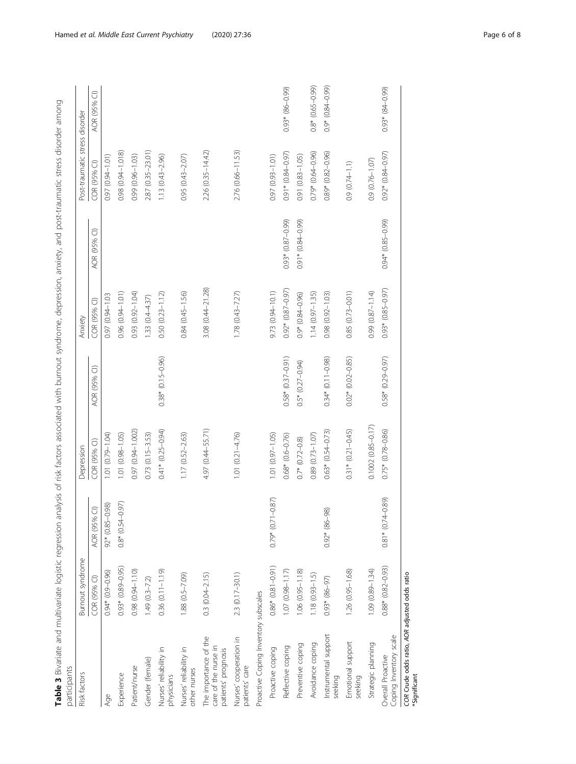| Table 3 Bivariate and multivariate logistic regression analysis of risk factors associated with burnout syndrome, depression, anxiety, and post-traumatic stress disorder among<br>participants |                      |                              |                          |                         |                         |                        |                                |                     |
|-------------------------------------------------------------------------------------------------------------------------------------------------------------------------------------------------|----------------------|------------------------------|--------------------------|-------------------------|-------------------------|------------------------|--------------------------------|---------------------|
| <b>Risk factors</b>                                                                                                                                                                             | Burnout syndrome     |                              | Depression               |                         | Anxiety                 |                        | Post-traumatic stress disorder |                     |
|                                                                                                                                                                                                 | COR (95% CI)         | $\widehat{\cup}$<br>AOR (95% | COR (95% CI)             | AOR (95% CI)            | COR (95% CI)            | AOR (95% CI)           | COR (95% CI)                   | AOR (95% CI)        |
| Age                                                                                                                                                                                             | $0.94*(0.9-0.96)$    | $92*(0.85-0.98)$             | 1.01 (0.79-1.04)         |                         | 0.97 (0.94-1.03         |                        | 0.97 (0.94-1.01)               |                     |
| Experience                                                                                                                                                                                      | $0.93*(0.89 - 0.95)$ | $0.8*(0.54 - 0.97)$          | 1.01 (0.98-1.05)         |                         | 0.96 (0.94-1.01)        |                        | 0.98 (0.94-1.018)              |                     |
| Patient/nurse                                                                                                                                                                                   | 0.98 (0.94-1.10)     |                              | 0.97 (0.94-1.002)        |                         | 0.93 (0.92-1.04)        |                        | 0.99 (0.96-1.03)               |                     |
| Gender (female)                                                                                                                                                                                 | $1.49(0.3 - 7.2)$    |                              | $0.73(0.15 - 3.53)$      |                         | $1.33(0.4 - 4.37)$      |                        | 2.87 (0.35-23.01)              |                     |
| Nurses' reliability in<br>physicians                                                                                                                                                            | 0.36 (0.11-1.19)     |                              | $0.41*$ (0.25-0.94)      | $0.38*(0.15-0.96)$      | $0.50(0.23 - 1.12)$     |                        | $1.13(0.43 - 2.96)$            |                     |
| Nurses' reliability in<br>other nurses                                                                                                                                                          | $1.88(0.5 - 7.09)$   |                              | $1.17(0.52 - 2.63)$      |                         | 0.84 (0.45-1.56)        |                        | $0.95(0.43 - 2.07)$            |                     |
| The importance of the<br>care of the nurse in<br>patients' prognosis                                                                                                                            | $0.3(0.04 - 2.15)$   |                              | 4.97 (0.44–55.71)        |                         | 3.08 (0.44-21.28)       |                        | 2.26 (0.35-14.42)              |                     |
| Nurses' cooperation in<br>patients' care                                                                                                                                                        | 2.3 (0.17-30.1)      |                              | $1.01(0.21 - 4.76)$      |                         | $1.78(0.43 - 7.27)$     |                        | 2.76 (0.66-11.53)              |                     |
| Proactive Coping Inventory subscales                                                                                                                                                            |                      |                              |                          |                         |                         |                        |                                |                     |
| Proactive coping                                                                                                                                                                                | $0.86*(0.81 - 0.91)$ | $-0.87$<br>$0.79*$ (0.71     | $1.01(0.97 - 1.05)$      |                         | 9.73 (0.94-10.1)        |                        | 0.97 (0.93-1.01)               |                     |
| Reflective coping                                                                                                                                                                               | $1.07(0.98 - 1.17)$  |                              | $0.68*(0.6-0.76)$        | $0.58*(0.37-0.91)$      | $0.92*$ $(0.87 - 0.97)$ | $(66.0 - 18.0) * 60.0$ | $0.91*$ $(0.84 - 0.97)$        | $0.93*$ (86-0.99)   |
| Preventive coping                                                                                                                                                                               | $1.06(0.95 - 1.18)$  |                              | $0.7*(0.72-0.8)$         | $0.5*$ $(0.27-0.94)$    | $0.9*(0.84 - 0.96)$     | $(66.0 - 98.0) * 16.0$ | 0.91 (0.83-1.05)               |                     |
| Avoidance coping                                                                                                                                                                                | $1.18(0.93 - 1.5)$   |                              | 0.89 (0.73-1.07)         |                         | $1.14(0.97 - 1.35)$     |                        | 0.79* (0.64-0.96)              | $0.8*(0.65-0.99)$   |
| Instrumental support<br>seeking                                                                                                                                                                 | $0.93 * (86 - 97)$   | $0.92*$ (86-98)              | $0.63*(0.54 - 0.73)$     | $0.34*(0.11-0.98)$      | 0.98 (0.92-1.03)        |                        | 0.89* (0.82-0.96)              | $0.9*$ (0.84-0.99)  |
| Emotional support<br>seeking                                                                                                                                                                    | $1.26(0.95 - 1.68)$  |                              | $0.31$ * $(0.21 - 0.45)$ | $0.02*$ $(0.02-0.85)$   | 0.85 (0.73-0.01)        |                        | $0.9(0.74 - 1.1)$              |                     |
| Strategic planning                                                                                                                                                                              | 1.09 (0.89-1.34)     |                              | $0.1002(0.85 - 0.17)$    |                         | 0.99 (0.87-1.14)        |                        | 0.9 (0.76-1.07)                |                     |
| Coping Inventory scale<br>Overall Proactive                                                                                                                                                     | $0.88*(0.82 - 0.93)$ | $0.81*$ (0.74-0.89)          | $0.75*(0.78-0.86)$       | $0.58*$ $(0.29 - 0.97)$ | $0.93*$ $(0.85 - 0.97)$ | $0.94*(0.85-0.99)$     | $0.92*$ $(0.84 - 0.97)$        | $0.93*$ $(84-0.99)$ |
| COR Crude odds ratio, AOR adjusted odds ratio<br>Significant                                                                                                                                    |                      |                              |                          |                         |                         |                        |                                |                     |

<span id="page-5-0"></span>Hamed et al. Middle East Current Psychiatry (2020) 27:36 example 2005 20:36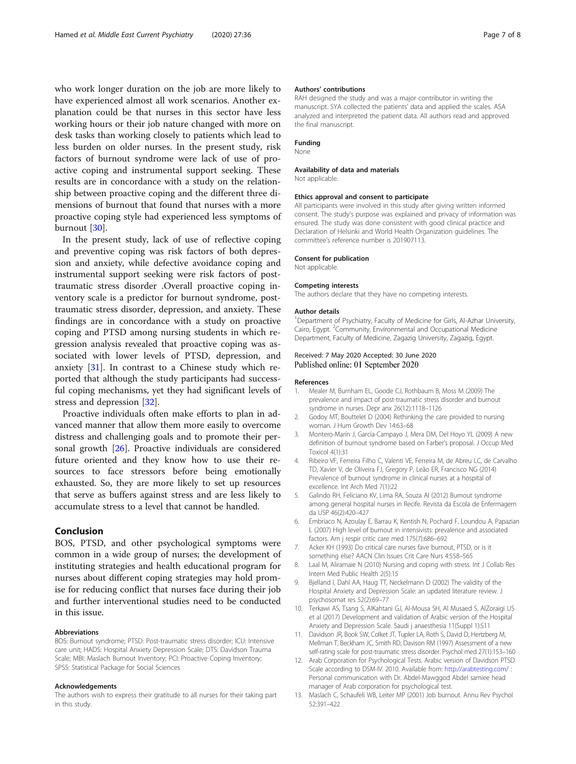<span id="page-6-0"></span>who work longer duration on the job are more likely to have experienced almost all work scenarios. Another explanation could be that nurses in this sector have less working hours or their job nature changed with more on desk tasks than working closely to patients which lead to less burden on older nurses. In the present study, risk factors of burnout syndrome were lack of use of proactive coping and instrumental support seeking. These results are in concordance with a study on the relationship between proactive coping and the different three dimensions of burnout that found that nurses with a more proactive coping style had experienced less symptoms of burnout [[30\]](#page-7-0).

In the present study, lack of use of reflective coping and preventive coping was risk factors of both depression and anxiety, while defective avoidance coping and instrumental support seeking were risk factors of posttraumatic stress disorder .Overall proactive coping inventory scale is a predictor for burnout syndrome, posttraumatic stress disorder, depression, and anxiety. These findings are in concordance with a study on proactive coping and PTSD among nursing students in which regression analysis revealed that proactive coping was associated with lower levels of PTSD, depression, and anxiety [[31](#page-7-0)]. In contrast to a Chinese study which reported that although the study participants had successful coping mechanisms, yet they had significant levels of stress and depression [[32\]](#page-7-0).

Proactive individuals often make efforts to plan in advanced manner that allow them more easily to overcome distress and challenging goals and to promote their personal growth [[26\]](#page-7-0). Proactive individuals are considered future oriented and they know how to use their resources to face stressors before being emotionally exhausted. So, they are more likely to set up resources that serve as buffers against stress and are less likely to accumulate stress to a level that cannot be handled.

### Conclusion

BOS, PTSD, and other psychological symptoms were common in a wide group of nurses; the development of instituting strategies and health educational program for nurses about different coping strategies may hold promise for reducing conflict that nurses face during their job and further interventional studies need to be conducted in this issue.

#### Abbreviations

BOS: Burnout syndrome; PTSD: Post-traumatic stress disorder; ICU: Intensive care unit; HADS: Hospital Anxiety Depression Scale; DTS: Davidson Trauma Scale; MBI: Maslach Burnout Inventory; PCI: Proactive Coping Inventory; SPSS: Statistical Package for Social Sciences

#### Acknowledgements

The authors wish to express their gratitude to all nurses for their taking part in this study.

#### Authors' contributions

RAH designed the study and was a major contributor in writing the manuscript. SYA collected the patients' data and applied the scales. ASA analyzed and interpreted the patient data. All authors read and approved the final manuscript.

#### Funding

None

#### Availability of data and materials

Not applicable.

#### Ethics approval and consent to participate

All participants were involved in this study after giving written informed consent. The study's purpose was explained and privacy of information was ensured. The study was done consistent with good clinical practice and Declaration of Helsinki and World Health Organization guidelines. The committee's reference number is 201907113.

#### Consent for publication

Not applicable.

#### Competing interests

The authors declare that they have no competing interests.

#### Author details

<sup>1</sup>Department of Psychiatry, Faculty of Medicine for Girls, Al-Azhar University Cairo, Egypt. <sup>2</sup>Community, Environmental and Occupational Medicine Department, Faculty of Medicine, Zagazig University, Zagazig, Egypt.

#### Received: 7 May 2020 Accepted: 30 June 2020 Published online: 01 September 2020

#### References

- 1. Mealer M, Burnham EL, Goode CJ, Rothbaum B, Moss M (2009) The prevalence and impact of post-traumatic stress disorder and burnout syndrome in nurses. Depr anx 26(12):1118–1126
- 2. Godoy MT, Bouttelet D (2004) Rethinking the care provided to nursing woman. J Hum Growth Dev 14:63–68
- 3. Montero-Marín J, García-Campayo J, Mera DM, Del Hoyo YL (2009) A new definition of burnout syndrome based on Farber's proposal. J Occup Med Toxicol 4(1):31
- 4. Ribeiro VF, Ferreira Filho C, Valenti VE, Ferreira M, de Abreu LC, de Carvalho TD, Xavier V, de Oliveira FJ, Gregory P, Leão ER, Francisco NG (2014) Prevalence of burnout syndrome in clinical nurses at a hospital of excellence. Int Arch Med 7(1):22
- 5. Galindo RH, Feliciano KV, Lima RA, Souza AI (2012) Burnout syndrome among general hospital nurses in Recife. Revista da Escola de Enfermagem da USP 46(2):420–427
- 6. Embriaco N, Azoulay E, Barrau K, Kentish N, Pochard F, Loundou A, Papazian L (2007) High level of burnout in intensivists: prevalence and associated factors. Am j respir critic care med 175(7):686–692
- 7. Acker KH (1993) Do critical care nurses fave burnout, PTSD, or is it something else? AACN Clin Issues Crit Care Nurs 4:558–565
- 8. Laal M, Aliramaie N (2010) Nursing and coping with stress. Int J Collab Res Intern Med Public Health 2(5):15
- 9. Bjelland I, Dahl AA, Haug TT, Neckelmann D (2002) The validity of the Hospital Anxiety and Depression Scale: an updated literature review. J psychosomat res 52(2):69–77
- 10. Terkawi AS, Tsang S, AlKahtani GJ, Al-Mousa SH, Al Musaed S, AlZoraigi US et al (2017) Development and validation of Arabic version of the Hospital Anxiety and Depression Scale. Saudi j anaesthesia 11(Suppl 1):S11
- 11. Davidson JR, Book SW, Colket JT, Tupler LA, Roth S, David D, Hertzberg M, Mellman T, Beckham JC, Smith RD, Davison RM (1997) Assessment of a new self-rating scale for post-traumatic stress disorder. Psychol med 27(1):153–160
- 12. Arab Corporation for Psychological Tests. Arabic version of Davidson PTSD Scale according to DSM-IV. 2010. Available from: <http://arabtesting.com/> : Personal communication with Dr. Abdel-Mawggod Abdel samiee head manager of Arab corporation for psychological test.
- 13. Maslach C, Schaufeli WB, Leiter MP (2001) Job burnout. Annu Rev Psychol 52:391–422